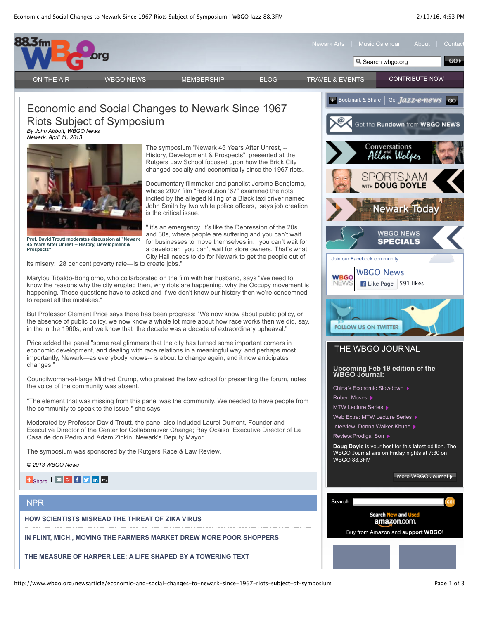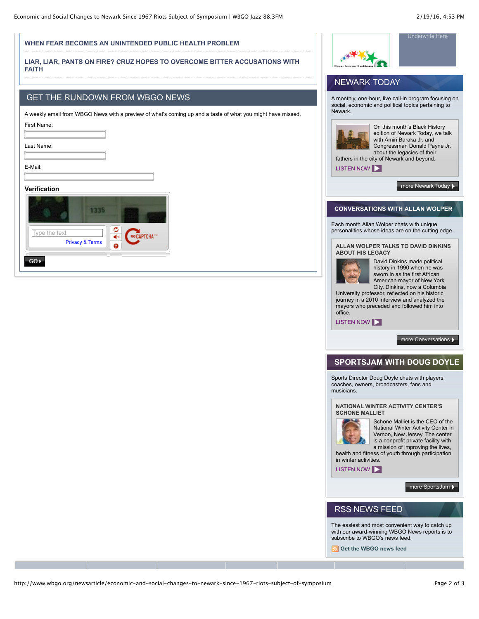#### **[WHEN FEAR BECOMES AN UNINTENDED PUBLIC HEALTH PROBLEM](http://www.npr.org/stations/set-station?station=WBGO_FM&url=http://www.npr.org/sections/health-shots/2016/02/19/467123373/when-fear-becomes-an-unintended-public-health-problem)**

#### **[LIAR, LIAR, PANTS ON FIRE? CRUZ HOPES TO OVERCOME BITTER ACCUSATIONS WITH](http://www.npr.org/stations/set-station?station=WBGO_FM&url=http://www.npr.org/2016/02/19/467366313/liar-liar-pants-on-fire-cruz-hopes-to-overcome-bitter-accusations-with-faith) FAITH**

### GET THE RUNDOWN FROM WBGO NEWS

A weekly email from WBGO News with a preview of what's coming up and a taste of what you might have missed.

| First Name:  |  |
|--------------|--|
| Last Name:   |  |
| E-Mail:      |  |
| Verification |  |
|              |  |

| Type the text | <b>Privacy &amp; Terms</b> | c<br><b>Q</b> | Re CAPTCHA <sup>114</sup> |
|---------------|----------------------------|---------------|---------------------------|
|               |                            |               |                           |



# NEWARK TODAY

A monthly, one-hour, live call-in program focusing on social, economic and political topics pertaining to Newark.



On this month's Black History edition of Newark Today, we talk with Amiri Baraka Jr. and Congressman Donald Payne Jr. about the legacies of their fathers in the city of Newark and beyond.

[LISTEN NOW](javascript:void(0)) **D** 

[more Newark Today](http://www.wbgo.org/newarktoday)

### **CONVERSATIONS WITH ALLAN WOLPER**

Each month Allan Wolper chats with unique personalities whose ideas are on the cutting edge.

**[ALLAN WOLPER TALKS TO DAVID DINKINS](http://www.wbgo.org/wolper) ABOUT HIS LEGACY**



David Dinkins made political history in 1990 when he was sworn in as the first African American mayor of New York City. Dinkins, now a Columbia

University professor, reflected on his historic journey in a 2010 interview and analyzed the mayors who preceded and followed him into office.

[LISTEN NOW](javascript:void(0)) **NOW** 

[more Conversations](http://www.wbgo.org/wolper)  $\blacktriangleright$ 

## **SPORTSJAM WITH DOUG DOYLE**

Sports Director Doug Doyle chats with players, coaches, owners, broadcasters, fans and musicians.

**[NATIONAL WINTER ACTIVITY CENTER'S](http://www.wbgo.org/sportsjam) SCHONE MALLIET**



Schone Malliet is the CEO of the National Winter Activity Center in Vernon, New Jersey. The center is a nonprofit private facility with a mission of improving the lives,

health and fitness of youth through participation in winter activities.

[LISTEN NOW](javascript:void(0)) |

[more SportsJam](http://www.wbgo.org/sportsjam)

# RSS NEWS FEED

The easiest and most convenient way to catch up with our award-winning WBGO News reports is to subscribe to WBGO's news feed.

**[Get the WBGO news feed](http://feeds.feedburner.com/wbgonewsfeed?format=xml)**